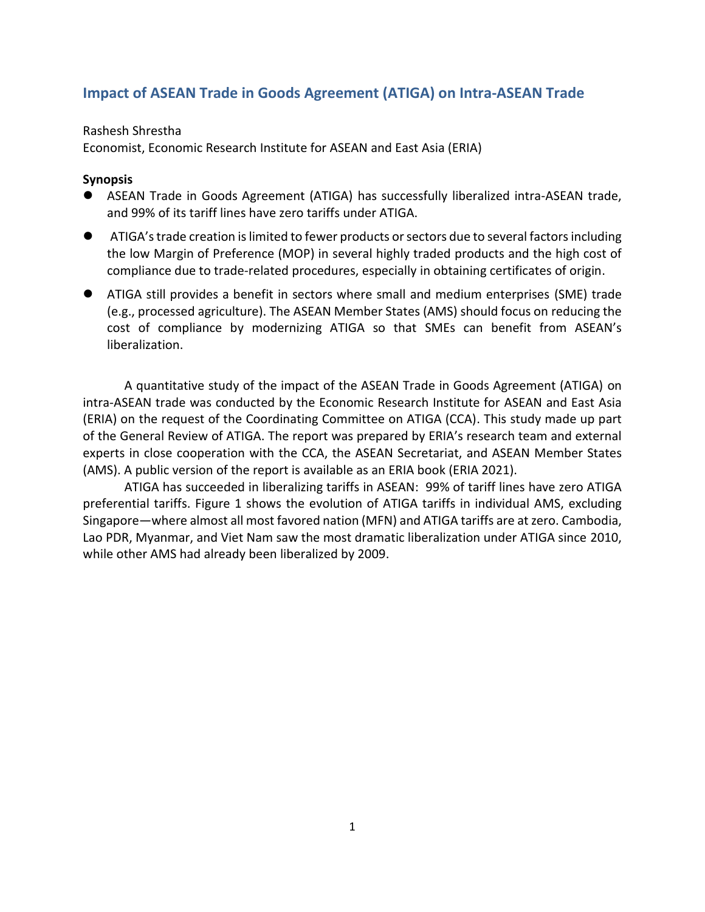## **Impact of ASEAN Trade in Goods Agreement (ATIGA) on Intra-ASEAN Trade**

## Rashesh Shrestha

Economist, Economic Research Institute for ASEAN and East Asia (ERIA)

## **Synopsis**

- ASEAN Trade in Goods Agreement (ATIGA) has successfully liberalized intra-ASEAN trade, and 99% of its tariff lines have zero tariffs under ATIGA.
- ATIGA's trade creation is limited to fewer products or sectors due to several factors including the low Margin of Preference (MOP) in several highly traded products and the high cost of compliance due to trade-related procedures, especially in obtaining certificates of origin.
- ⚫ ATIGA still provides a benefit in sectors where small and medium enterprises (SME) trade (e.g., processed agriculture). The ASEAN Member States (AMS) should focus on reducing the cost of compliance by modernizing ATIGA so that SMEs can benefit from ASEAN's liberalization.

A quantitative study of the impact of the ASEAN Trade in Goods Agreement (ATIGA) on intra-ASEAN trade was conducted by the Economic Research Institute for ASEAN and East Asia (ERIA) on the request of the Coordinating Committee on ATIGA (CCA). This study made up part of the General Review of ATIGA. The report was prepared by ERIA's research team and external experts in close cooperation with the CCA, the ASEAN Secretariat, and ASEAN Member States (AMS). A public version of the report is available as an ERIA book (ERIA 2021).

ATIGA has succeeded in liberalizing tariffs in ASEAN: 99% of tariff lines have zero ATIGA preferential tariffs. Figure 1 shows the evolution of ATIGA tariffs in individual AMS, excluding Singapore—where almost all most favored nation (MFN) and ATIGA tariffs are at zero. Cambodia, Lao PDR, Myanmar, and Viet Nam saw the most dramatic liberalization under ATIGA since 2010, while other AMS had already been liberalized by 2009.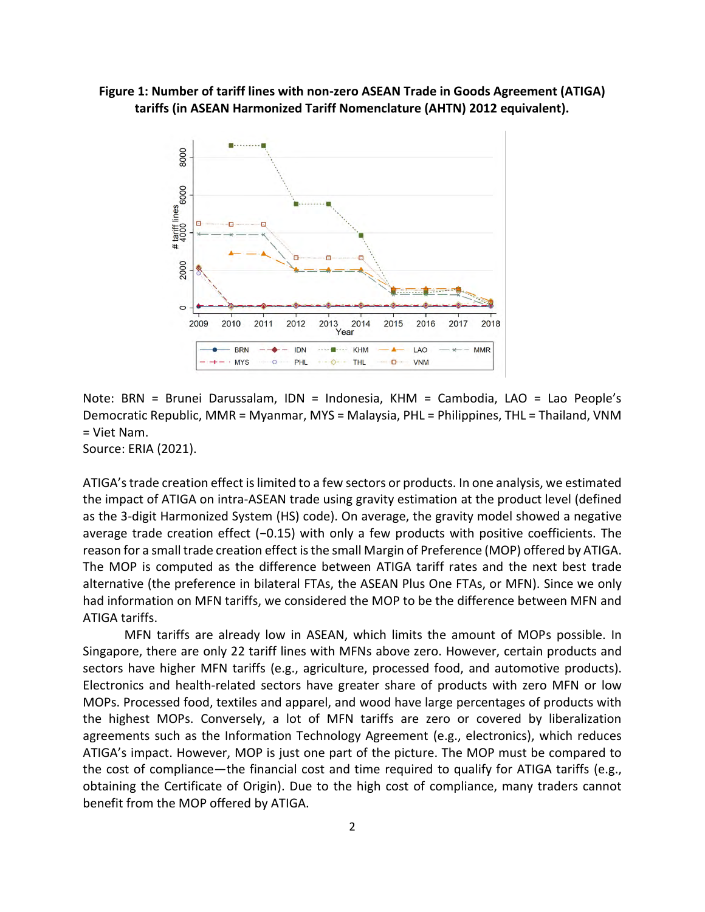**Figure 1: Number of tariff lines with non-zero ASEAN Trade in Goods Agreement (ATIGA) tariffs (in ASEAN Harmonized Tariff Nomenclature (AHTN) 2012 equivalent).**



Note: BRN = Brunei Darussalam, IDN = Indonesia, KHM = Cambodia, LAO = Lao People's Democratic Republic, MMR = Myanmar, MYS = Malaysia, PHL = Philippines, THL = Thailand, VNM = Viet Nam.

Source: ERIA (2021).

ATIGA's trade creation effect is limited to a few sectors or products. In one analysis, we estimated the impact of ATIGA on intra-ASEAN trade using gravity estimation at the product level (defined as the 3-digit Harmonized System (HS) code). On average, the gravity model showed a negative average trade creation effect (−0.15) with only a few products with positive coefficients. The reason for a small trade creation effect is the small Margin of Preference (MOP) offered by ATIGA. The MOP is computed as the difference between ATIGA tariff rates and the next best trade alternative (the preference in bilateral FTAs, the ASEAN Plus One FTAs, or MFN). Since we only had information on MFN tariffs, we considered the MOP to be the difference between MFN and ATIGA tariffs.

MFN tariffs are already low in ASEAN, which limits the amount of MOPs possible. In Singapore, there are only 22 tariff lines with MFNs above zero. However, certain products and sectors have higher MFN tariffs (e.g., agriculture, processed food, and automotive products). Electronics and health-related sectors have greater share of products with zero MFN or low MOPs. Processed food, textiles and apparel, and wood have large percentages of products with the highest MOPs. Conversely, a lot of MFN tariffs are zero or covered by liberalization agreements such as the Information Technology Agreement (e.g., electronics), which reduces ATIGA's impact. However, MOP is just one part of the picture. The MOP must be compared to the cost of compliance—the financial cost and time required to qualify for ATIGA tariffs (e.g., obtaining the Certificate of Origin). Due to the high cost of compliance, many traders cannot benefit from the MOP offered by ATIGA.